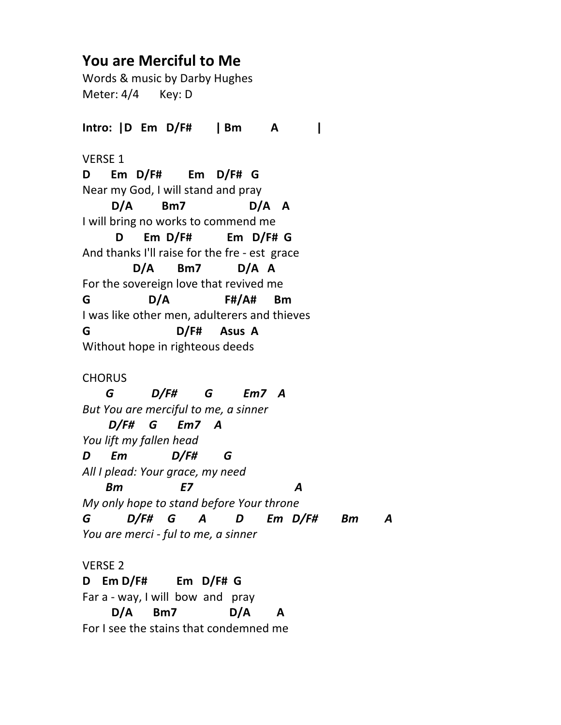## **You are Merciful to Me**

Words & music by Darby Hughes Meter: 4/4 Key: D

**Intro: |D Em D/F# | Bm A |** VERSE 1 **D Em D/F# Em D/F# G** Near my God, I will stand and pray  **D/A Bm7 D/A A** I will bring no works to commend me **D Em D/F# Em D/F# G** And thanks I'll raise for the fre - est grace  **D/A Bm7 D/A A** For the sovereign love that revived me **G D/A F#/A# Bm** I was like other men, adulterers and thieves **G D/F# Asus A** Without hope in righteous deeds CHORUS

 *G D/F# G Em7 A But You are merciful to me, a sinner D/F# G Em7 A You lift my fallen head D Em D/F# G All I plead: Your grace, my need Bm E7 A My only hope to stand before Your throne G D/F# G A D Em D/F# Bm A You are merci - ful to me, a sinner*

VERSE 2 **D Em D/F# Em D/F# G** Far a - way, I will bow and pray  **D/A Bm7 D/A A** For I see the stains that condemned me